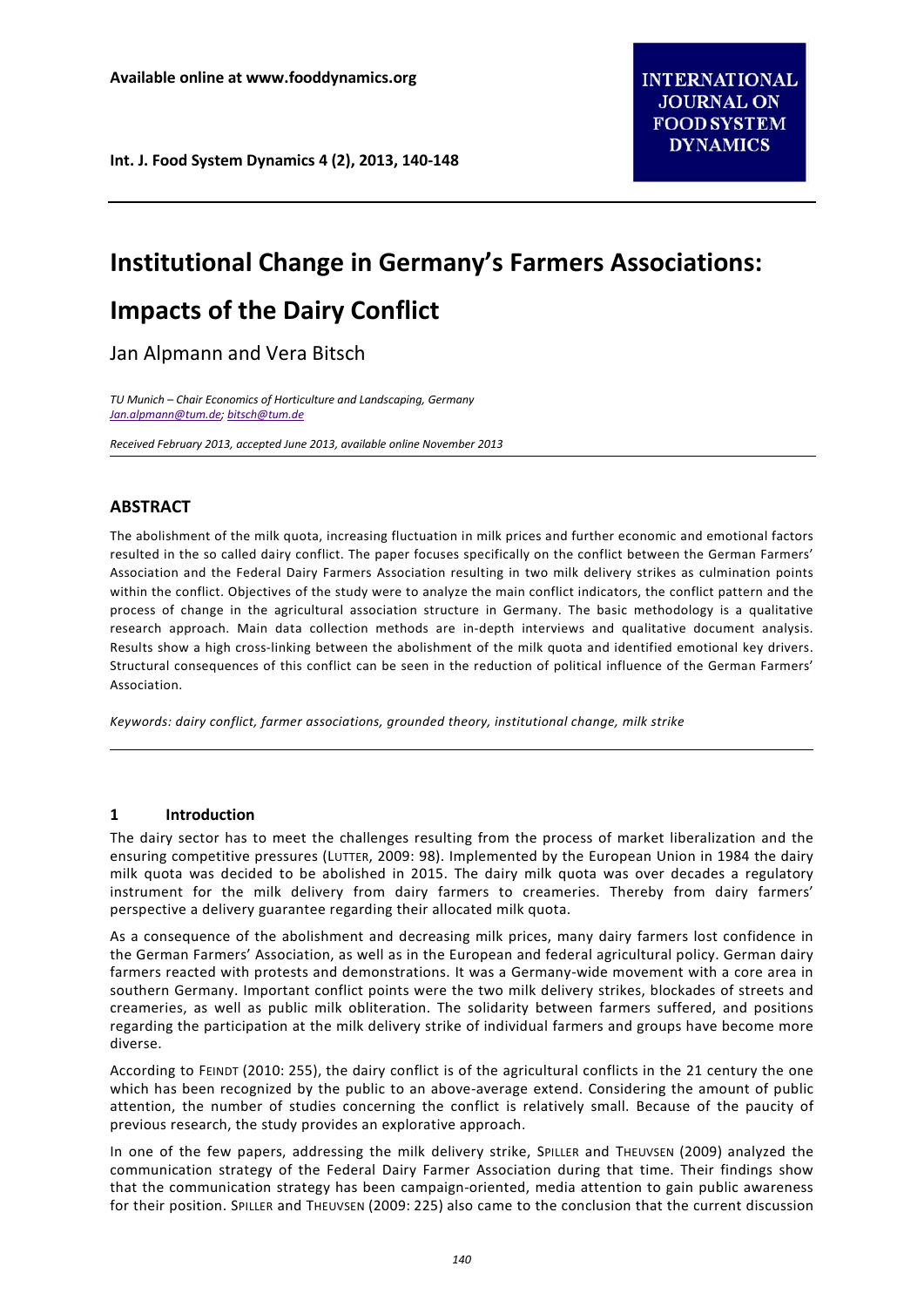# **Institutional Change in Germany's Farmers Associations:**

# **Impacts of the Dairy Conflict**

Jan Alpmann and Vera Bitsch

*TU Munich – Chair Economics of Horticulture and Landscaping, Germany [Jan.alpmann@tum.de;](mailto:Jan.alpmann@tum.de) [bitsch@tum.de](mailto:bitsch@tum.de)*

*Received February 2013, accepted June 2013, available online November 2013*

# **ABSTRACT**

The abolishment of the milk quota, increasing fluctuation in milk prices and further economic and emotional factors resulted in the so called dairy conflict. The paper focuses specifically on the conflict between the German Farmers' Association and the Federal Dairy Farmers Association resulting in two milk delivery strikes as culmination points within the conflict. Objectives of the study were to analyze the main conflict indicators, the conflict pattern and the process of change in the agricultural association structure in Germany. The basic methodology is a qualitative research approach. Main data collection methods are in-depth interviews and qualitative document analysis. Results show a high cross-linking between the abolishment of the milk quota and identified emotional key drivers. Structural consequences of this conflict can be seen in the reduction of political influence of the German Farmers' Association.

*Keywords: dairy conflict, farmer associations, grounded theory, institutional change, milk strike*

# **1 Introduction**

The dairy sector has to meet the challenges resulting from the process of market liberalization and the ensuring competitive pressures (LUTTER, 2009: 98). Implemented by the European Union in 1984 the dairy milk quota was decided to be abolished in 2015. The dairy milk quota was over decades a regulatory instrument for the milk delivery from dairy farmers to creameries. Thereby from dairy farmers' perspective a delivery guarantee regarding their allocated milk quota.

As a consequence of the abolishment and decreasing milk prices, many dairy farmers lost confidence in the German Farmers' Association, as well as in the European and federal agricultural policy. German dairy farmers reacted with protests and demonstrations. It was a Germany-wide movement with a core area in southern Germany. Important conflict points were the two milk delivery strikes, blockades of streets and creameries, as well as public milk obliteration. The solidarity between farmers suffered, and positions regarding the participation at the milk delivery strike of individual farmers and groups have become more diverse.

According to FEINDT (2010: 255), the dairy conflict is of the agricultural conflicts in the 21 century the one which has been recognized by the public to an above-average extend. Considering the amount of public attention, the number of studies concerning the conflict is relatively small. Because of the paucity of previous research, the study provides an explorative approach.

In one of the few papers, addressing the milk delivery strike, SPILLER and THEUVSEN (2009) analyzed the communication strategy of the Federal Dairy Farmer Association during that time. Their findings show that the communication strategy has been campaign-oriented, media attention to gain public awareness for their position. SPILLER and THEUVSEN (2009: 225) also came to the conclusion that the current discussion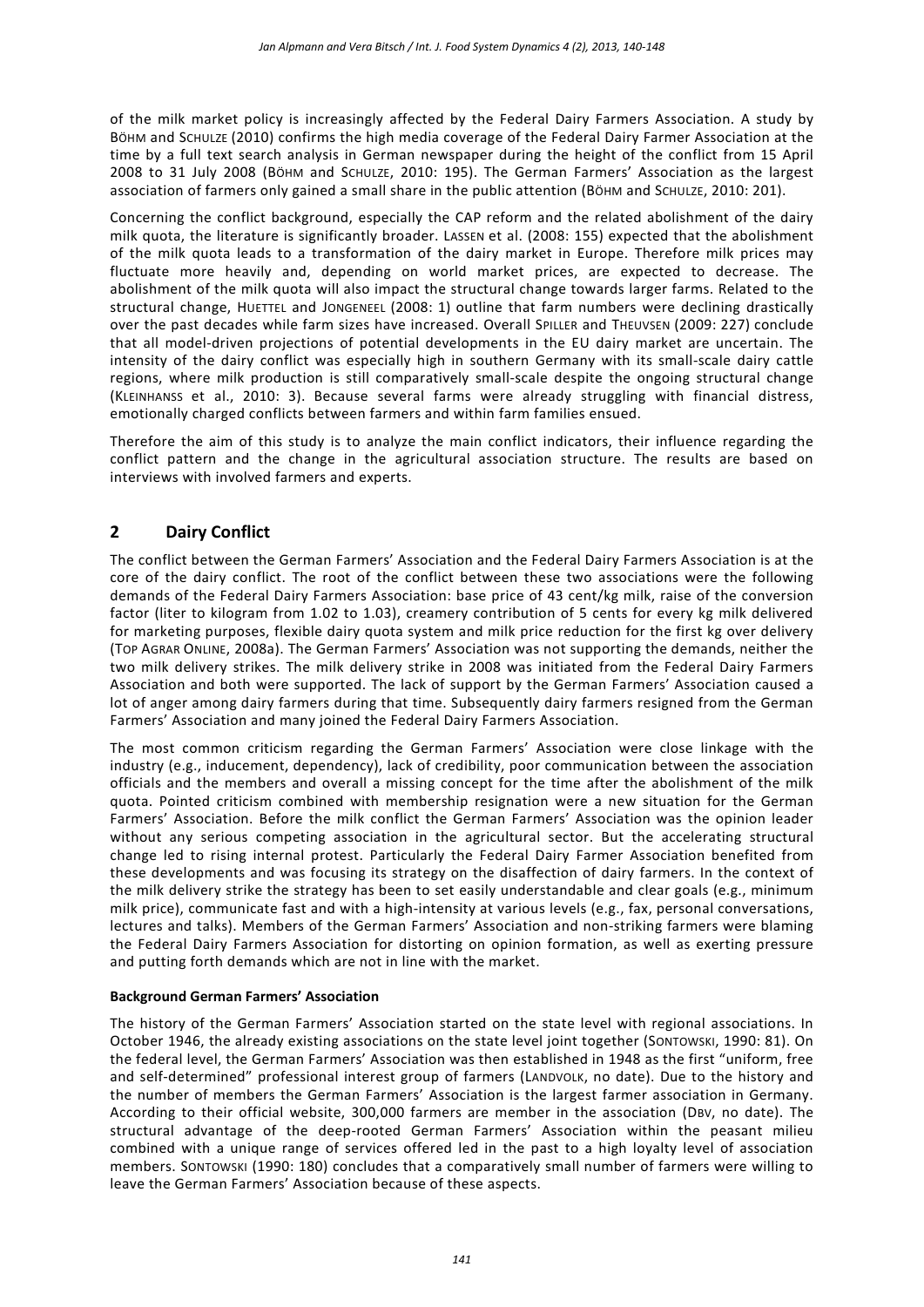of the milk market policy is increasingly affected by the Federal Dairy Farmers Association. A study by BÖHM and SCHULZE (2010) confirms the high media coverage of the Federal Dairy Farmer Association at the time by a full text search analysis in German newspaper during the height of the conflict from 15 April 2008 to 31 July 2008 (BÖHM and SCHULZE, 2010: 195). The German Farmers' Association as the largest association of farmers only gained a small share in the public attention (BÖHM and SCHULZE, 2010: 201).

Concerning the conflict background, especially the CAP reform and the related abolishment of the dairy milk quota, the literature is significantly broader. LASSEN et al. (2008: 155) expected that the abolishment of the milk quota leads to a transformation of the dairy market in Europe. Therefore milk prices may fluctuate more heavily and, depending on world market prices, are expected to decrease. The abolishment of the milk quota will also impact the structural change towards larger farms. Related to the structural change, HUETTEL and JONGENEEL (2008: 1) outline that farm numbers were declining drastically over the past decades while farm sizes have increased. Overall SPILLER and THEUVSEN (2009: 227) conclude that all model-driven projections of potential developments in the EU dairy market are uncertain. The intensity of the dairy conflict was especially high in southern Germany with its small-scale dairy cattle regions, where milk production is still comparatively small-scale despite the ongoing structural change (KLEINHANSS et al., 2010: 3). Because several farms were already struggling with financial distress, emotionally charged conflicts between farmers and within farm families ensued.

Therefore the aim of this study is to analyze the main conflict indicators, their influence regarding the conflict pattern and the change in the agricultural association structure. The results are based on interviews with involved farmers and experts.

# **2 Dairy Conflict**

The conflict between the German Farmers' Association and the Federal Dairy Farmers Association is at the core of the dairy conflict. The root of the conflict between these two associations were the following demands of the Federal Dairy Farmers Association: base price of 43 cent/kg milk, raise of the conversion factor (liter to kilogram from 1.02 to 1.03), creamery contribution of 5 cents for every kg milk delivered for marketing purposes, flexible dairy quota system and milk price reduction for the first kg over delivery (TOP AGRAR ONLINE, 2008a). The German Farmers' Association was not supporting the demands, neither the two milk delivery strikes. The milk delivery strike in 2008 was initiated from the Federal Dairy Farmers Association and both were supported. The lack of support by the German Farmers' Association caused a lot of anger among dairy farmers during that time. Subsequently dairy farmers resigned from the German Farmers' Association and many joined the Federal Dairy Farmers Association.

The most common criticism regarding the German Farmers' Association were close linkage with the industry (e.g., inducement, dependency), lack of credibility, poor communication between the association officials and the members and overall a missing concept for the time after the abolishment of the milk quota. Pointed criticism combined with membership resignation were a new situation for the German Farmers' Association. Before the milk conflict the German Farmers' Association was the opinion leader without any serious competing association in the agricultural sector. But the accelerating structural change led to rising internal protest. Particularly the Federal Dairy Farmer Association benefited from these developments and was focusing its strategy on the disaffection of dairy farmers. In the context of the milk delivery strike the strategy has been to set easily understandable and clear goals (e.g., minimum milk price), communicate fast and with a high-intensity at various levels (e.g., fax, personal conversations, lectures and talks). Members of the German Farmers' Association and non-striking farmers were blaming the Federal Dairy Farmers Association for distorting on opinion formation, as well as exerting pressure and putting forth demands which are not in line with the market.

#### **Background German Farmers' Association**

The history of the German Farmers' Association started on the state level with regional associations. In October 1946, the already existing associations on the state level joint together (SONTOWSKI, 1990: 81). On the federal level, the German Farmers' Association was then established in 1948 as the first "uniform, free and self-determined" professional interest group of farmers (LANDVOLK, no date). Due to the history and the number of members the German Farmers' Association is the largest farmer association in Germany. According to their official website, 300,000 farmers are member in the association (DBV, no date). The structural advantage of the deep-rooted German Farmers' Association within the peasant milieu combined with a unique range of services offered led in the past to a high loyalty level of association members. SONTOWSKI (1990: 180) concludes that a comparatively small number of farmers were willing to leave the German Farmers' Association because of these aspects.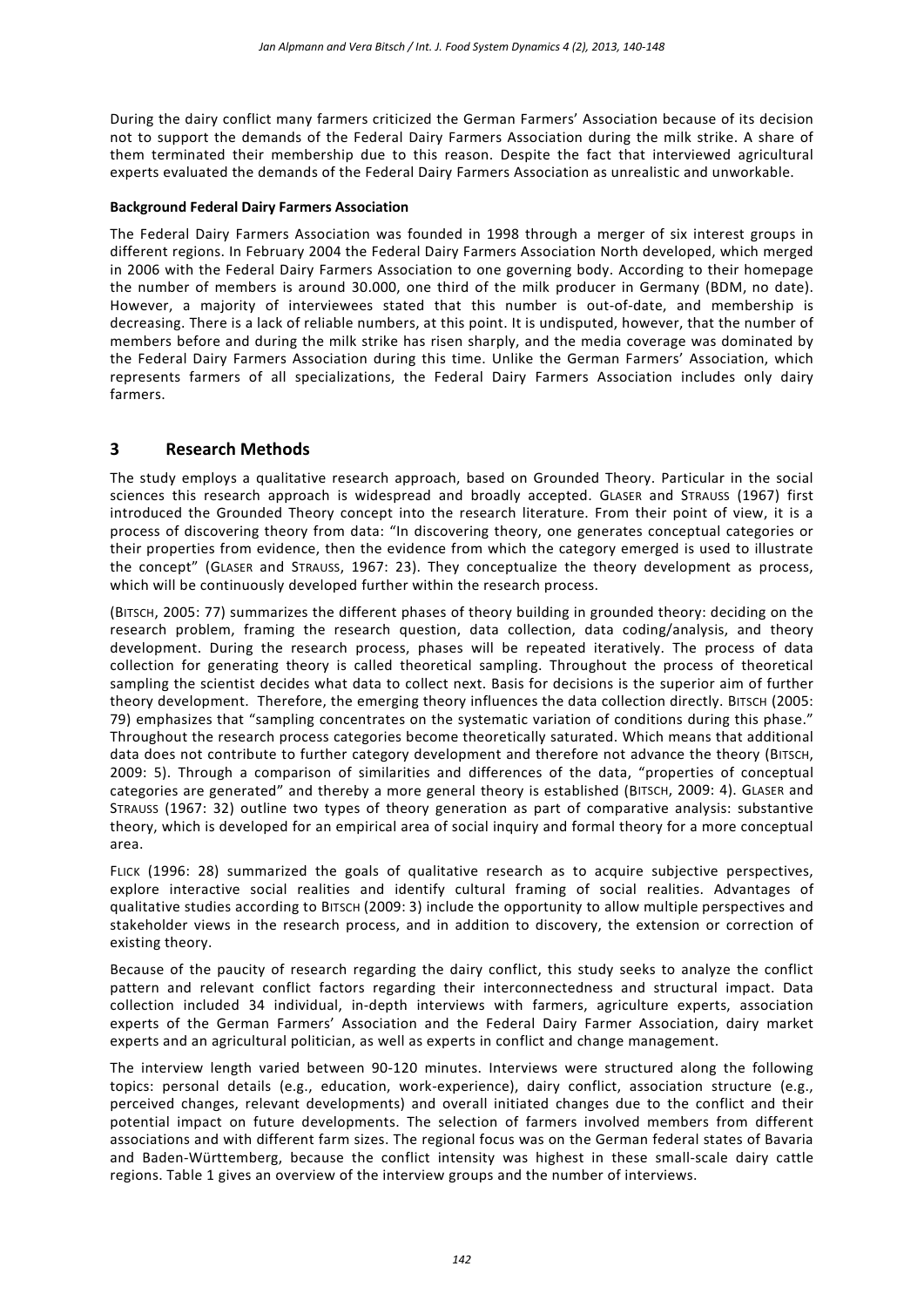During the dairy conflict many farmers criticized the German Farmers' Association because of its decision not to support the demands of the Federal Dairy Farmers Association during the milk strike. A share of them terminated their membership due to this reason. Despite the fact that interviewed agricultural experts evaluated the demands of the Federal Dairy Farmers Association as unrealistic and unworkable.

#### **Background Federal Dairy Farmers Association**

The Federal Dairy Farmers Association was founded in 1998 through a merger of six interest groups in different regions. In February 2004 the Federal Dairy Farmers Association North developed, which merged in 2006 with the Federal Dairy Farmers Association to one governing body. According to their homepage the number of members is around 30.000, one third of the milk producer in Germany (BDM, no date). However, a majority of interviewees stated that this number is out-of-date, and membership is decreasing. There is a lack of reliable numbers, at this point. It is undisputed, however, that the number of members before and during the milk strike has risen sharply, and the media coverage was dominated by the Federal Dairy Farmers Association during this time. Unlike the German Farmers' Association, which represents farmers of all specializations, the Federal Dairy Farmers Association includes only dairy farmers.

# **3 Research Methods**

The study employs a qualitative research approach, based on Grounded Theory. Particular in the social sciences this research approach is widespread and broadly accepted. GLASER and STRAUSS (1967) first introduced the Grounded Theory concept into the research literature. From their point of view, it is a process of discovering theory from data: "In discovering theory, one generates conceptual categories or their properties from evidence, then the evidence from which the category emerged is used to illustrate the concept" (GLASER and STRAUSS, 1967: 23). They conceptualize the theory development as process, which will be continuously developed further within the research process.

(BITSCH, 2005: 77) summarizes the different phases of theory building in grounded theory: deciding on the research problem, framing the research question, data collection, data coding/analysis, and theory development. During the research process, phases will be repeated iteratively. The process of data collection for generating theory is called theoretical sampling. Throughout the process of theoretical sampling the scientist decides what data to collect next. Basis for decisions is the superior aim of further theory development. Therefore, the emerging theory influences the data collection directly. BITSCH (2005: 79) emphasizes that "sampling concentrates on the systematic variation of conditions during this phase." Throughout the research process categories become theoretically saturated. Which means that additional data does not contribute to further category development and therefore not advance the theory (BITSCH, 2009: 5). Through a comparison of similarities and differences of the data, "properties of conceptual categories are generated" and thereby a more general theory is established (BITSCH, 2009: 4). GLASER and STRAUSS (1967: 32) outline two types of theory generation as part of comparative analysis: substantive theory, which is developed for an empirical area of social inquiry and formal theory for a more conceptual area.

FLICK (1996: 28) summarized the goals of qualitative research as to acquire subjective perspectives, explore interactive social realities and identify cultural framing of social realities. Advantages of qualitative studies according to BITSCH (2009: 3) include the opportunity to allow multiple perspectives and stakeholder views in the research process, and in addition to discovery, the extension or correction of existing theory.

Because of the paucity of research regarding the dairy conflict, this study seeks to analyze the conflict pattern and relevant conflict factors regarding their interconnectedness and structural impact. Data collection included 34 individual, in-depth interviews with farmers, agriculture experts, association experts of the German Farmers' Association and the Federal Dairy Farmer Association, dairy market experts and an agricultural politician, as well as experts in conflict and change management.

The interview length varied between 90-120 minutes. Interviews were structured along the following topics: personal details (e.g., education, work-experience), dairy conflict, association structure (e.g., perceived changes, relevant developments) and overall initiated changes due to the conflict and their potential impact on future developments. The selection of farmers involved members from different associations and with different farm sizes. The regional focus was on the German federal states of Bavaria and Baden-Württemberg, because the conflict intensity was highest in these small-scale dairy cattle regions. Table 1 gives an overview of the interview groups and the number of interviews.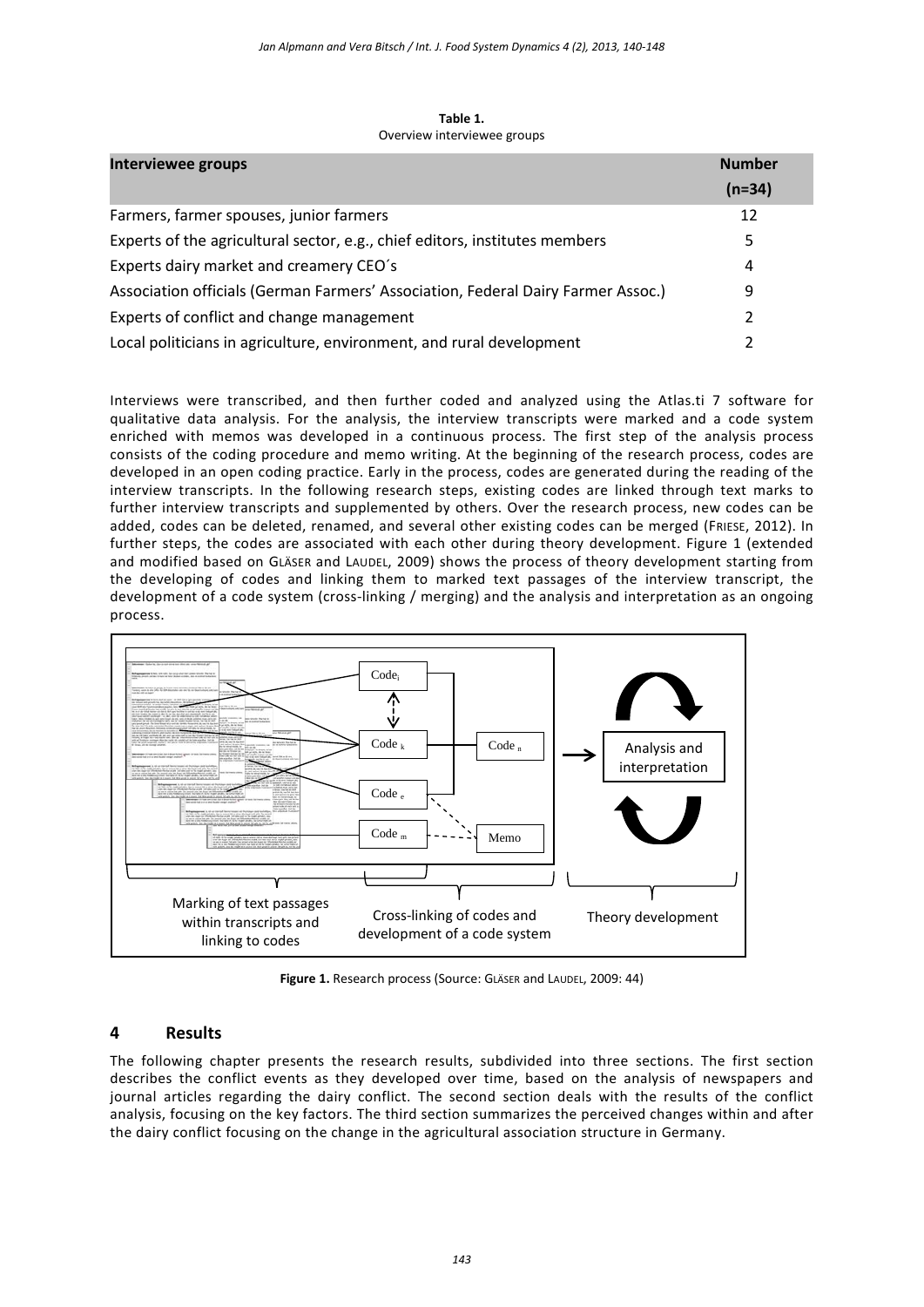| Interviewee groups                                                               |          |  |
|----------------------------------------------------------------------------------|----------|--|
|                                                                                  | $(n=34)$ |  |
| Farmers, farmer spouses, junior farmers                                          | 12       |  |
| Experts of the agricultural sector, e.g., chief editors, institutes members      | 5.       |  |
| Experts dairy market and creamery CEO's                                          | 4        |  |
| Association officials (German Farmers' Association, Federal Dairy Farmer Assoc.) |          |  |
| Experts of conflict and change management                                        |          |  |
| Local politicians in agriculture, environment, and rural development             |          |  |

**Table 1.** Overview interviewee groups

Interviews were transcribed, and then further coded and analyzed using the Atlas.ti 7 software for qualitative data analysis. For the analysis, the interview transcripts were marked and a code system enriched with memos was developed in a continuous process. The first step of the analysis process consists of the coding procedure and memo writing. At the beginning of the research process, codes are developed in an open coding practice. Early in the process, codes are generated during the reading of the interview transcripts. In the following research steps, existing codes are linked through text marks to further interview transcripts and supplemented by others. Over the research process, new codes can be added, codes can be deleted, renamed, and several other existing codes can be merged (FRIESE, 2012). In further steps, the codes are associated with each other during theory development. Figure 1 (extended and modified based on GLÄSER and LAUDEL, 2009) shows the process of theory development starting from the developing of codes and linking them to marked text passages of the interview transcript, the development of a code system (cross-linking / merging) and the analysis and interpretation as an ongoing process.



**Figure 1.** Research process (Source: GLÄSER and LAUDEL, 2009: 44)

# **4 Results**

The following chapter presents the research results, subdivided into three sections. The first section describes the conflict events as they developed over time, based on the analysis of newspapers and journal articles regarding the dairy conflict. The second section deals with the results of the conflict analysis, focusing on the key factors. The third section summarizes the perceived changes within and after the dairy conflict focusing on the change in the agricultural association structure in Germany.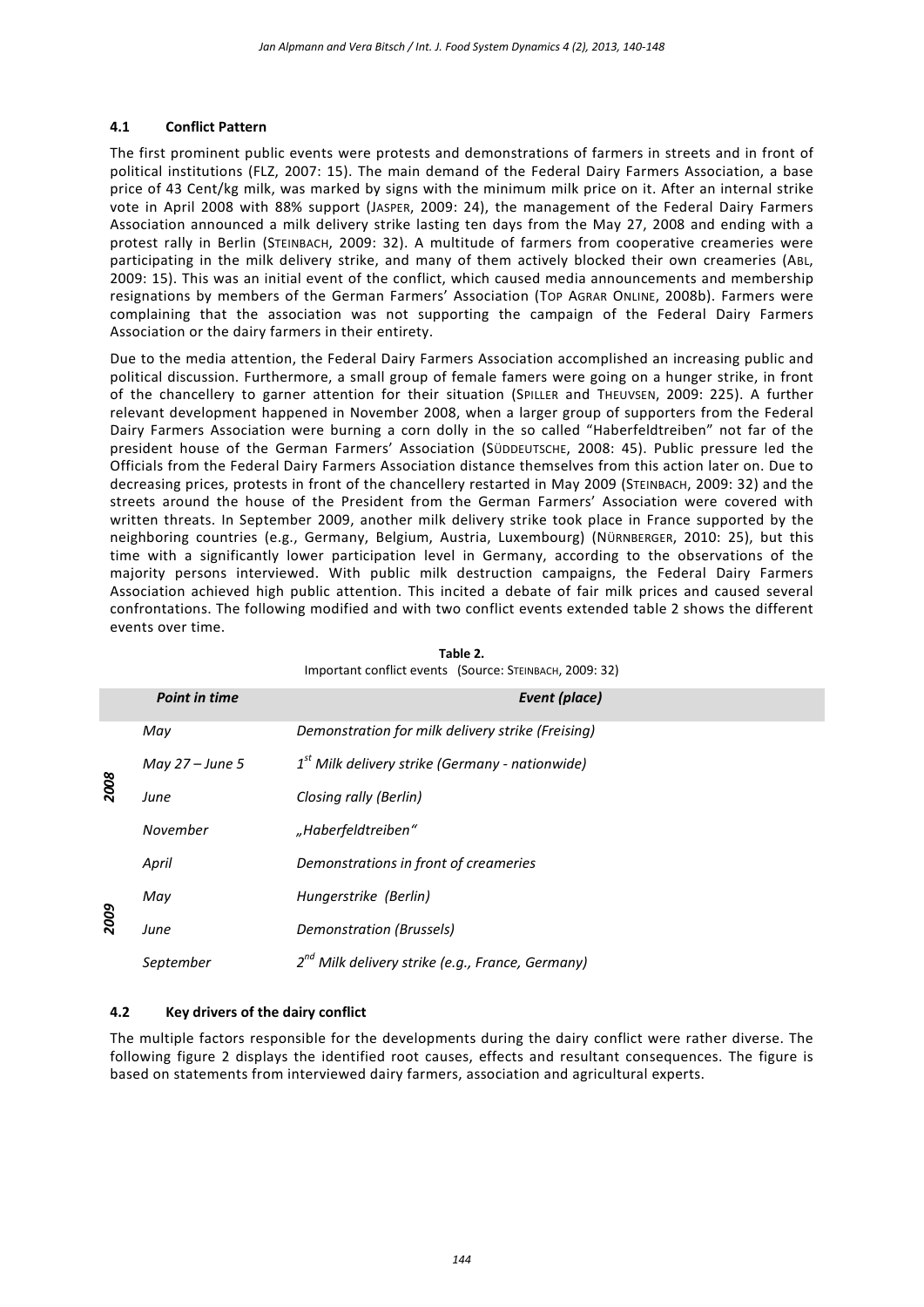#### **4.1 Conflict Pattern**

The first prominent public events were protests and demonstrations of farmers in streets and in front of political institutions (FLZ, 2007: 15). The main demand of the Federal Dairy Farmers Association, a base price of 43 Cent/kg milk, was marked by signs with the minimum milk price on it. After an internal strike vote in April 2008 with 88% support (JASPER, 2009: 24), the management of the Federal Dairy Farmers Association announced a milk delivery strike lasting ten days from the May 27, 2008 and ending with a protest rally in Berlin (STEINBACH, 2009: 32). A multitude of farmers from cooperative creameries were participating in the milk delivery strike, and many of them actively blocked their own creameries (ABL, 2009: 15). This was an initial event of the conflict, which caused media announcements and membership resignations by members of the German Farmers' Association (TOP AGRAR ONLINE, 2008b). Farmers were complaining that the association was not supporting the campaign of the Federal Dairy Farmers Association or the dairy farmers in their entirety.

Due to the media attention, the Federal Dairy Farmers Association accomplished an increasing public and political discussion. Furthermore, a small group of female famers were going on a hunger strike, in front of the chancellery to garner attention for their situation (SPILLER and THEUVSEN, 2009: 225). A further relevant development happened in November 2008, when a larger group of supporters from the Federal Dairy Farmers Association were burning a corn dolly in the so called "Haberfeldtreiben" not far of the president house of the German Farmers' Association (SÜDDEUTSCHE, 2008: 45). Public pressure led the Officials from the Federal Dairy Farmers Association distance themselves from this action later on. Due to decreasing prices, protests in front of the chancellery restarted in May 2009 (STEINBACH, 2009: 32) and the streets around the house of the President from the German Farmers' Association were covered with written threats. In September 2009, another milk delivery strike took place in France supported by the neighboring countries (e.g., Germany, Belgium, Austria, Luxembourg) (NÜRNBERGER, 2010: 25), but this time with a significantly lower participation level in Germany, according to the observations of the majority persons interviewed. With public milk destruction campaigns, the Federal Dairy Farmers Association achieved high public attention. This incited a debate of fair milk prices and caused several confrontations. The following modified and with two conflict events extended table 2 shows the different events over time.

|      | <b>Point in time</b> | Event (place)                                         |
|------|----------------------|-------------------------------------------------------|
| 2008 | May                  | Demonstration for milk delivery strike (Freising)     |
|      | May $27 - June 5$    | $1st$ Milk delivery strike (Germany - nationwide)     |
|      | June                 | Closing rally (Berlin)                                |
|      | November             | "Haberfeldtreiben"                                    |
| 2009 | April                | Demonstrations in front of creameries                 |
|      | May                  | Hungerstrike (Berlin)                                 |
|      | June                 | Demonstration (Brussels)                              |
|      | September            | $2^{nd}$ Milk delivery strike (e.g., France, Germany) |

**Table 2.** Important conflict events (Source: STEINBACH, 2009: 32)

### **4.2 Key drivers of the dairy conflict**

The multiple factors responsible for the developments during the dairy conflict were rather diverse. The following figure 2 displays the identified root causes, effects and resultant consequences. The figure is based on statements from interviewed dairy farmers, association and agricultural experts.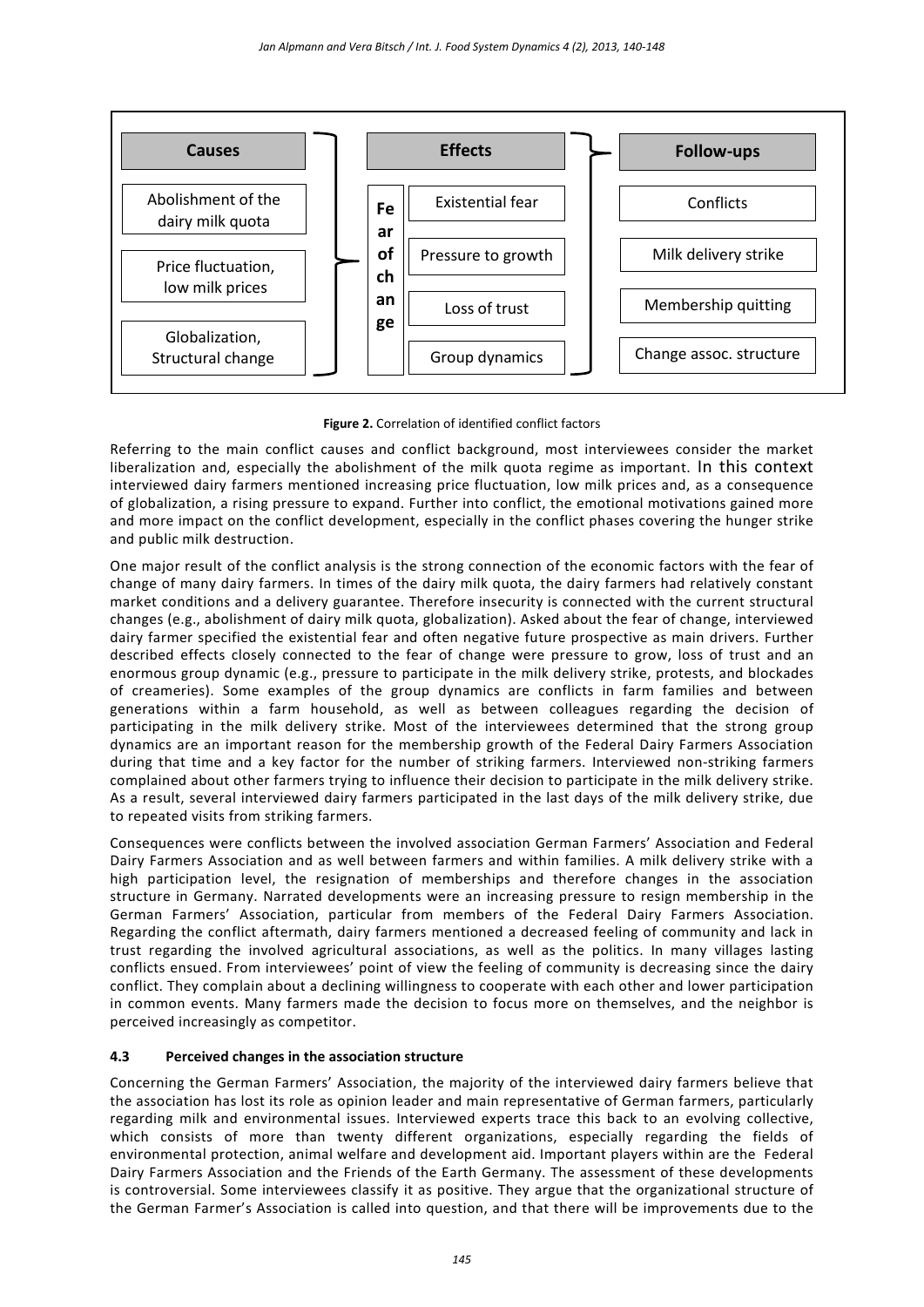

#### **Figure 2.** Correlation of identified conflict factors

Referring to the main conflict causes and conflict background, most interviewees consider the market liberalization and, especially the abolishment of the milk quota regime as important. In this context interviewed dairy farmers mentioned increasing price fluctuation, low milk prices and, as a consequence of globalization, a rising pressure to expand. Further into conflict, the emotional motivations gained more and more impact on the conflict development, especially in the conflict phases covering the hunger strike and public milk destruction.

One major result of the conflict analysis is the strong connection of the economic factors with the fear of change of many dairy farmers. In times of the dairy milk quota, the dairy farmers had relatively constant market conditions and a delivery guarantee. Therefore insecurity is connected with the current structural changes (e.g., abolishment of dairy milk quota, globalization). Asked about the fear of change, interviewed dairy farmer specified the existential fear and often negative future prospective as main drivers. Further described effects closely connected to the fear of change were pressure to grow, loss of trust and an enormous group dynamic (e.g., pressure to participate in the milk delivery strike, protests, and blockades of creameries). Some examples of the group dynamics are conflicts in farm families and between generations within a farm household, as well as between colleagues regarding the decision of participating in the milk delivery strike. Most of the interviewees determined that the strong group dynamics are an important reason for the membership growth of the Federal Dairy Farmers Association during that time and a key factor for the number of striking farmers. Interviewed non-striking farmers complained about other farmers trying to influence their decision to participate in the milk delivery strike. As a result, several interviewed dairy farmers participated in the last days of the milk delivery strike, due to repeated visits from striking farmers.

Consequences were conflicts between the involved association German Farmers' Association and Federal Dairy Farmers Association and as well between farmers and within families. A milk delivery strike with a high participation level, the resignation of memberships and therefore changes in the association structure in Germany. Narrated developments were an increasing pressure to resign membership in the German Farmers' Association, particular from members of the Federal Dairy Farmers Association. Regarding the conflict aftermath, dairy farmers mentioned a decreased feeling of community and lack in trust regarding the involved agricultural associations, as well as the politics. In many villages lasting conflicts ensued. From interviewees' point of view the feeling of community is decreasing since the dairy conflict. They complain about a declining willingness to cooperate with each other and lower participation in common events. Many farmers made the decision to focus more on themselves, and the neighbor is perceived increasingly as competitor.

#### **4.3 Perceived changes in the association structure**

Concerning the German Farmers' Association, the majority of the interviewed dairy farmers believe that the association has lost its role as opinion leader and main representative of German farmers, particularly regarding milk and environmental issues. Interviewed experts trace this back to an evolving collective, which consists of more than twenty different organizations, especially regarding the fields of environmental protection, animal welfare and development aid. Important players within are the Federal Dairy Farmers Association and the Friends of the Earth Germany. The assessment of these developments is controversial. Some interviewees classify it as positive. They argue that the organizational structure of the German Farmer's Association is called into question, and that there will be improvements due to the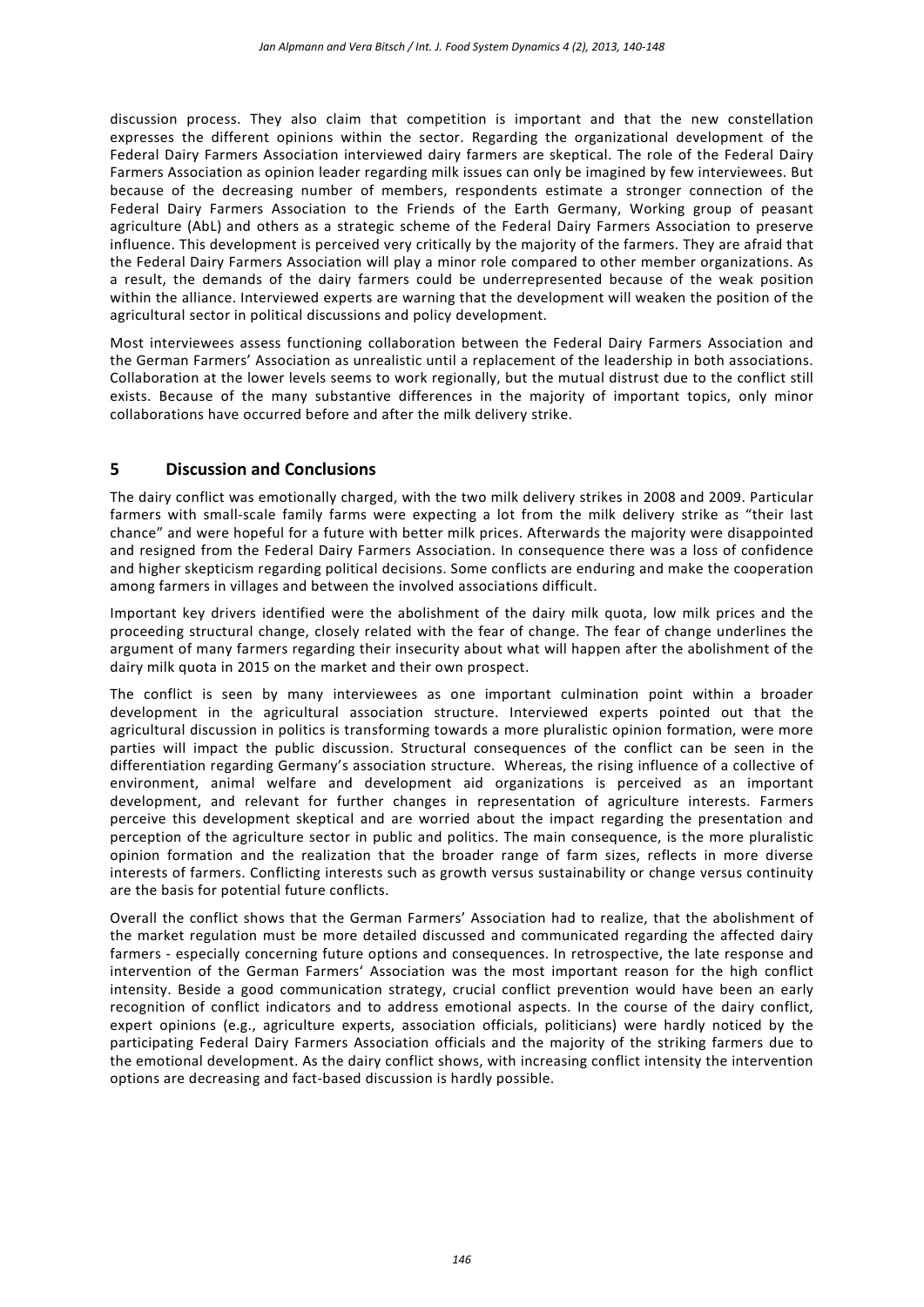discussion process. They also claim that competition is important and that the new constellation expresses the different opinions within the sector. Regarding the organizational development of the Federal Dairy Farmers Association interviewed dairy farmers are skeptical. The role of the Federal Dairy Farmers Association as opinion leader regarding milk issues can only be imagined by few interviewees. But because of the decreasing number of members, respondents estimate a stronger connection of the Federal Dairy Farmers Association to the Friends of the Earth Germany, Working group of peasant agriculture (AbL) and others as a strategic scheme of the Federal Dairy Farmers Association to preserve influence. This development is perceived very critically by the majority of the farmers. They are afraid that the Federal Dairy Farmers Association will play a minor role compared to other member organizations. As a result, the demands of the dairy farmers could be underrepresented because of the weak position within the alliance. Interviewed experts are warning that the development will weaken the position of the agricultural sector in political discussions and policy development.

Most interviewees assess functioning collaboration between the Federal Dairy Farmers Association and the German Farmers' Association as unrealistic until a replacement of the leadership in both associations. Collaboration at the lower levels seems to work regionally, but the mutual distrust due to the conflict still exists. Because of the many substantive differences in the majority of important topics, only minor collaborations have occurred before and after the milk delivery strike.

# **5 Discussion and Conclusions**

The dairy conflict was emotionally charged, with the two milk delivery strikes in 2008 and 2009. Particular farmers with small-scale family farms were expecting a lot from the milk delivery strike as "their last chance" and were hopeful for a future with better milk prices. Afterwards the majority were disappointed and resigned from the Federal Dairy Farmers Association. In consequence there was a loss of confidence and higher skepticism regarding political decisions. Some conflicts are enduring and make the cooperation among farmers in villages and between the involved associations difficult.

Important key drivers identified were the abolishment of the dairy milk quota, low milk prices and the proceeding structural change, closely related with the fear of change. The fear of change underlines the argument of many farmers regarding their insecurity about what will happen after the abolishment of the dairy milk quota in 2015 on the market and their own prospect.

The conflict is seen by many interviewees as one important culmination point within a broader development in the agricultural association structure. Interviewed experts pointed out that the agricultural discussion in politics is transforming towards a more pluralistic opinion formation, were more parties will impact the public discussion. Structural consequences of the conflict can be seen in the differentiation regarding Germany's association structure. Whereas, the rising influence of a collective of environment, animal welfare and development aid organizations is perceived as an important development, and relevant for further changes in representation of agriculture interests. Farmers perceive this development skeptical and are worried about the impact regarding the presentation and perception of the agriculture sector in public and politics. The main consequence, is the more pluralistic opinion formation and the realization that the broader range of farm sizes, reflects in more diverse interests of farmers. Conflicting interests such as growth versus sustainability or change versus continuity are the basis for potential future conflicts.

Overall the conflict shows that the German Farmers' Association had to realize, that the abolishment of the market regulation must be more detailed discussed and communicated regarding the affected dairy farmers - especially concerning future options and consequences. In retrospective, the late response and intervention of the German Farmers' Association was the most important reason for the high conflict intensity. Beside a good communication strategy, crucial conflict prevention would have been an early recognition of conflict indicators and to address emotional aspects. In the course of the dairy conflict, expert opinions (e.g., agriculture experts, association officials, politicians) were hardly noticed by the participating Federal Dairy Farmers Association officials and the majority of the striking farmers due to the emotional development. As the dairy conflict shows, with increasing conflict intensity the intervention options are decreasing and fact-based discussion is hardly possible.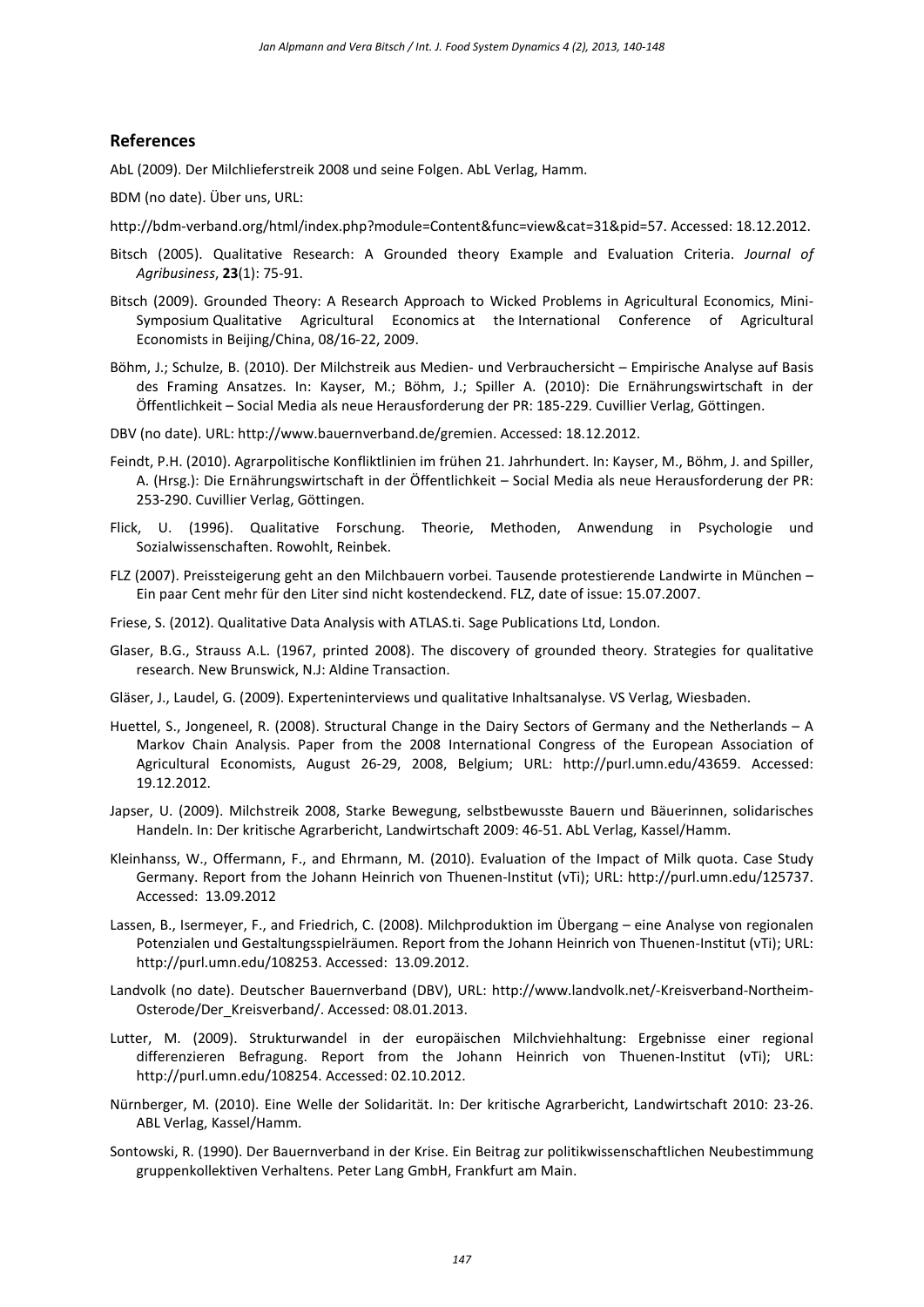#### **References**

AbL (2009). Der Milchlieferstreik 2008 und seine Folgen. AbL Verlag, Hamm.

BDM (no date). Über uns, URL:

- [http://bdm-verband.org/html/index.php?module=Content&func=view&cat=31&pid=57.](http://bdm-verband.org/html/index.php?module=Content&func=view&cat=31&pid=57) Accessed: 18.12.2012.
- Bitsch (2005). Qualitative Research: A Grounded theory Example and Evaluation Criteria. *Journal of Agribusiness*, **23**(1): 75-91.
- Bitsch (2009). Grounded Theory: A Research Approach to Wicked Problems in Agricultural Economics, Mini-Symposium Qualitative Agricultural Economics at the International Conference of Agricultural Economists in Beijing/China, 08/16-22, 2009.
- Böhm, J.; Schulze, B. (2010). Der Milchstreik aus Medien- und Verbrauchersicht Empirische Analyse auf Basis des Framing Ansatzes. In: Kayser, M.; Böhm, J.; Spiller A. (2010): Die Ernährungswirtschaft in der Öffentlichkeit – Social Media als neue Herausforderung der PR: 185-229. Cuvillier Verlag, Göttingen.
- DBV (no date). URL: [http://www.bauernverband.de/gremien.](http://www.bauernverband.de/gremien) Accessed: 18.12.2012.
- Feindt, P.H. (2010). Agrarpolitische Konfliktlinien im frühen 21. Jahrhundert. In: Kayser, M., Böhm, J. and Spiller, A. (Hrsg.): Die Ernährungswirtschaft in der Öffentlichkeit – Social Media als neue Herausforderung der PR: 253-290. Cuvillier Verlag, Göttingen.
- Flick, U. (1996). Qualitative Forschung. Theorie, Methoden, Anwendung in Psychologie und Sozialwissenschaften. Rowohlt, Reinbek.
- FLZ (2007). Preissteigerung geht an den Milchbauern vorbei. Tausende protestierende Landwirte in München Ein paar Cent mehr für den Liter sind nicht kostendeckend. FLZ, date of issue: 15.07.2007.
- Friese, S. (2012). Qualitative Data Analysis with ATLAS.ti. Sage Publications Ltd, London.
- Glaser, B.G., Strauss A.L. (1967, printed 2008). The discovery of grounded theory. Strategies for qualitative research. New Brunswick, N.J: Aldine Transaction.
- Gläser, J., Laudel, G. (2009). Experteninterviews und qualitative Inhaltsanalyse. VS Verlag, Wiesbaden.
- Huettel, S., Jongeneel, R. (2008). Structural Change in the Dairy Sectors of Germany and the Netherlands A Markov Chain Analysis. Paper from the 2008 International Congress of the European Association of Agricultural Economists, August 26-29, 2008, Belgium; URL: [http://purl.umn.edu/43659.](http://purl.umn.edu/43659) Accessed: 19.12.2012.
- Japser, U. (2009). Milchstreik 2008, Starke Bewegung, selbstbewusste Bauern und Bäuerinnen, solidarisches Handeln. In: Der kritische Agrarbericht, Landwirtschaft 2009: 46-51. AbL Verlag, Kassel/Hamm.
- Kleinhanss, W., Offermann, F., and Ehrmann, M. (2010). Evaluation of the Impact of Milk quota. Case Study Germany. Report from the Johann Heinrich von Thuenen-Institut (vTi); URL: [http://purl.umn.edu/125737.](http://purl.umn.edu/125737) Accessed: 13.09.2012
- Lassen, B., Isermeyer, F., and Friedrich, C. (2008). Milchproduktion im Übergang eine Analyse von regionalen Potenzialen und Gestaltungsspielräumen. Report from the Johann Heinrich von Thuenen-Institut (vTi); URL: [http://purl.umn.edu/108253.](http://purl.umn.edu/108253) Accessed: 13.09.2012.
- Landvolk (no date). Deutscher Bauernverband (DBV), URL: [http://www.landvolk.net/-Kreisverband-Northeim-](http://www.landvolk.net/-Kreisverband-Northeim-Osterode/Der_Kreisverband/)[Osterode/Der\\_Kreisverband/.](http://www.landvolk.net/-Kreisverband-Northeim-Osterode/Der_Kreisverband/) Accessed: 08.01.2013.
- Lutter, M. (2009). Strukturwandel in der europäischen Milchviehhaltung: Ergebnisse einer regional differenzieren Befragung. Report from the Johann Heinrich von Thuenen-Institut (vTi); URL: [http://purl.umn.edu/108254.](http://purl.umn.edu/108254) Accessed: 02.10.2012.
- Nürnberger, M. (2010). Eine Welle der Solidarität. In: Der kritische Agrarbericht, Landwirtschaft 2010: 23-26. ABL Verlag, Kassel/Hamm.
- Sontowski, R. (1990). Der Bauernverband in der Krise. Ein Beitrag zur politikwissenschaftlichen Neubestimmung gruppenkollektiven Verhaltens. Peter Lang GmbH, Frankfurt am Main.